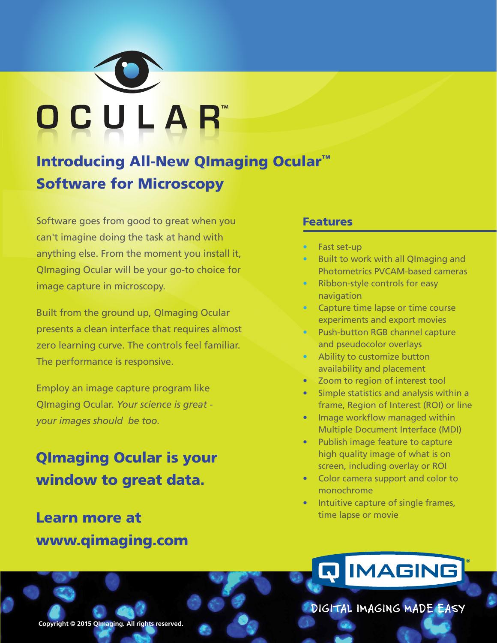

## Introducing All-New QImaging Ocular™ Software for Microscopy

Software goes from good to great when you can't imagine doing the task at hand with anything else. From the moment you install it, QImaging Ocular will be your go-to choice for image capture in microscopy.

Built from the ground up, QImaging Ocular presents a clean interface that requires almost zero learning curve. The controls feel familiar. The performance is responsive.

Employ an image capture program like QImaging Ocular. *Your science is great your images should be too.*

## QImaging Ocular is your window to great data.

Learn more at www.qimaging.com

## Features

- Fast set-up
- Built to work with all QImaging and Photometrics PVCAM-based cameras
- Ribbon-style controls for easy navigation
- Capture time lapse or time course experiments and export movies
- Push-button RGB channel capture and pseudocolor overlays
- Ability to customize button availability and placement
- Zoom to region of interest tool
- Simple statistics and analysis within a frame, Region of Interest (ROI) or line
- Image workflow managed within Multiple Document Interface (MDI)
- Publish image feature to capture high quality image of what is on screen, including overlay or ROI
- Color camera support and color to monochrome
- Intuitive capture of single frames, time lapse or movie

## **IMAGING**

DIGITAL IMAGING MADE EASY

**Copyright © 2015 QImaging. All rights reserved.**